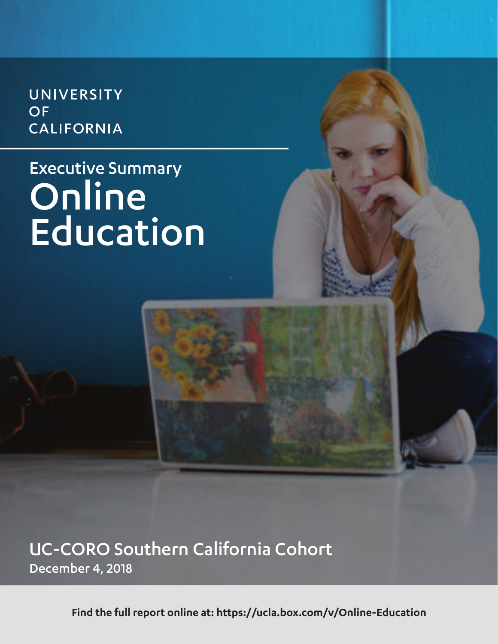UNIVERSITY **OF CALIFORNIA** 

## Executive Summary Online Education

UC-CORO Southern California Cohort December 4, 2018

**Find the full report online at: https://ucla.box.com/v/Online-Education**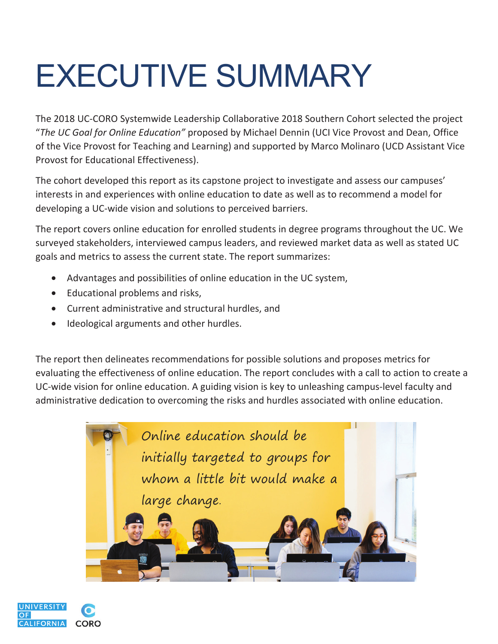## EXECUTIVE SUMMARY

The 2018 UC-CORO Systemwide Leadership Collaborative 2018 Southern Cohort selected the project "*The UC Goal for Online Education"* proposed by Michael Dennin (UCI Vice Provost and Dean, Office of the Vice Provost for Teaching and Learning) and supported by Marco Molinaro (UCD Assistant Vice Provost for Educational Effectiveness).

The cohort developed this report as its capstone project to investigate and assess our campuses' interests in and experiences with online education to date as well as to recommend a model for developing a UC-wide vision and solutions to perceived barriers.

The report covers online education for enrolled students in degree programs throughout the UC. We surveyed stakeholders, interviewed campus leaders, and reviewed market data as well as stated UC goals and metrics to assess the current state. The report summarizes:

- Advantages and possibilities of online education in the UC system,
- Educational problems and risks,
- Current administrative and structural hurdles, and
- Ideological arguments and other hurdles.

The report then delineates recommendations for possible solutions and proposes metrics for evaluating the effectiveness of online education. The report concludes with a call to action to create a UC-wide vision for online education. A guiding vision is key to unleashing campus-level faculty and administrative dedication to overcoming the risks and hurdles associated with online education.



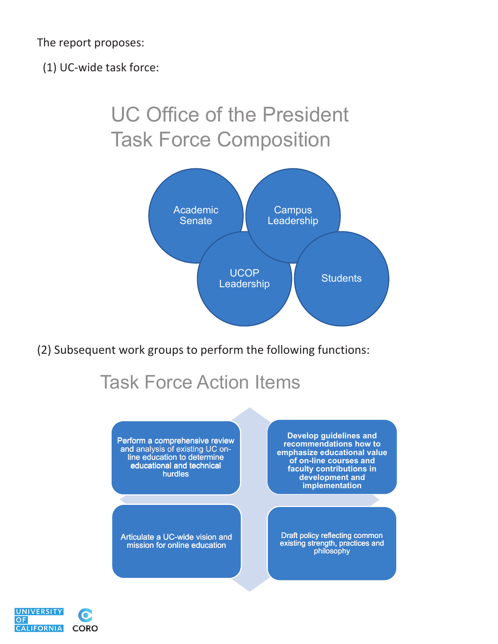The report proposes:

(1) UC-wide task force:

## UC Office of the President Task Force Composition



(2) Subsequent work groups to perform the following functions:

## Task Force Action Items

Perform a comprehensive review and analysis of existing UC online education to determine educational and technical hurdles

Articulate a UC-wide vision and mission for online education

**Develop guidelines and recommendations how to emphasize educational value of on-line courses and faculty contributions in development and implementation**

Draft policy reflecting common existing strength, practices and philosophy